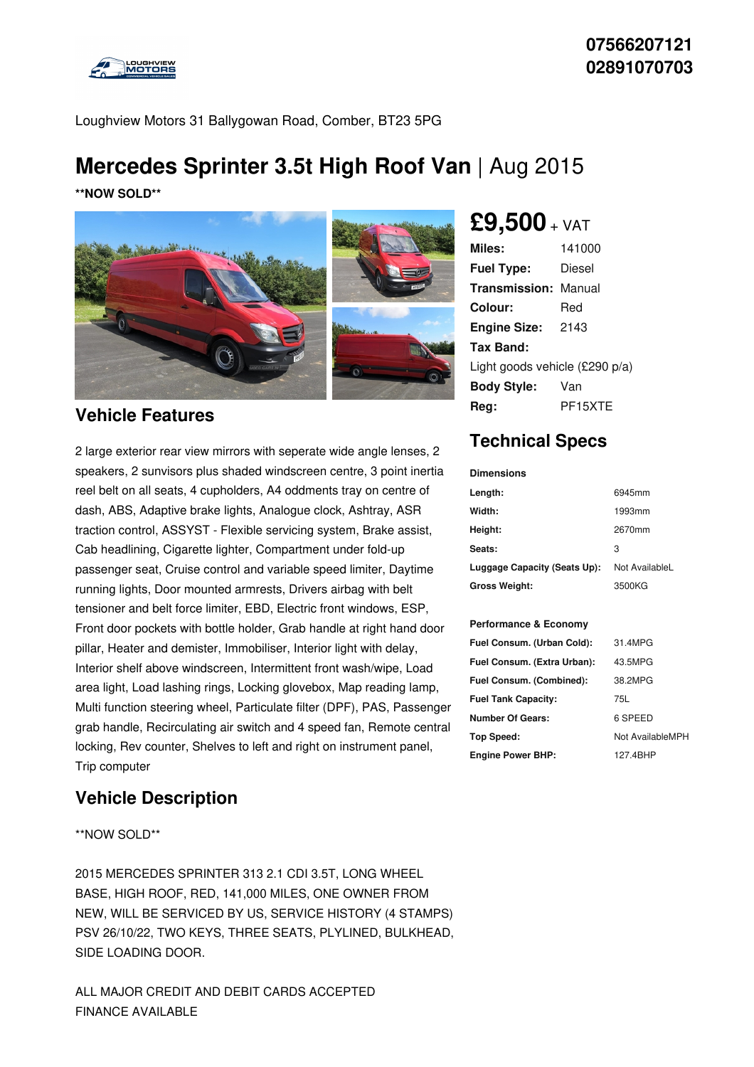

Loughview Motors 31 Ballygowan Road, Comber, BT23 5PG

# **Mercedes Sprinter 3.5t High Roof Van** | Aug 2015

**\*\*NOW SOLD\*\***



### **Vehicle Features**

2 large exterior rear view mirrors with seperate wide angle lenses, 2 speakers, 2 sunvisors plus shaded windscreen centre, 3 point inertia reel belt on all seats, 4 cupholders, A4 oddments tray on centre of dash, ABS, Adaptive brake lights, Analogue clock, Ashtray, ASR traction control, ASSYST - Flexible servicing system, Brake assist, Cab headlining, Cigarette lighter, Compartment under fold-up passenger seat, Cruise control and variable speed limiter, Daytime running lights, Door mounted armrests, Drivers airbag with belt tensioner and belt force limiter, EBD, Electric front windows, ESP, Front door pockets with bottle holder, Grab handle at right hand door pillar, Heater and demister, Immobiliser, Interior light with delay, Interior shelf above windscreen, Intermittent front wash/wipe, Load area light, Load lashing rings, Locking glovebox, Map reading lamp, Multi function steering wheel, Particulate filter (DPF), PAS, Passenger grab handle, Recirculating air switch and 4 speed fan, Remote central locking, Rev counter, Shelves to left and right on instrument panel, Trip computer

### **Vehicle Description**

#### \*\*NOW SOLD\*\*

2015 MERCEDES SPRINTER 313 2.1 CDI 3.5T, LONG WHEEL BASE, HIGH ROOF, RED, 141,000 MILES, ONE OWNER FROM NEW, WILL BE SERVICED BY US, SERVICE HISTORY (4 STAMPS) PSV 26/10/22, TWO KEYS, THREE SEATS, PLYLINED, BULKHEAD, SIDE LOADING DOOR.

ALL MAJOR CREDIT AND DEBIT CARDS ACCEPTED FINANCE AVAILABLE

## **£9,500** <sup>+</sup> VAT

| Miles:                         | 141000  |
|--------------------------------|---------|
| <b>Fuel Type:</b>              | Diesel  |
| Transmission:                  | Manual  |
| Colour:                        | Red     |
| <b>Engine Size:</b>            | 2143    |
| Tax Band:                      |         |
| Light goods vehicle (£290 p/a) |         |
| <b>Body Style:</b>             | Van     |
| Rea:                           | PF15XTF |

## **Technical Specs**

| <b>Dimensions</b>                |                  |
|----------------------------------|------------------|
| Length:                          | 6945mm           |
| Width:                           | 1993mm           |
| Height:                          | 2670mm           |
| Seats:                           | 3                |
| Luggage Capacity (Seats Up):     | Not AvailableL   |
| Gross Weight:                    | 3500KG           |
|                                  |                  |
| <b>Performance &amp; Economy</b> |                  |
| Fuel Consum. (Urban Cold):       | 31.4MPG          |
| Fuel Consum. (Extra Urban):      | 43.5MPG          |
| Fuel Consum. (Combined):         | 38.2MPG          |
| <b>Fuel Tank Capacity:</b>       | 75L              |
| <b>Number Of Gears:</b>          | 6 SPEED          |
| Top Speed:                       | Not AvailableMPH |
| <b>Engine Power BHP:</b>         | 127.4BHP         |
|                                  |                  |